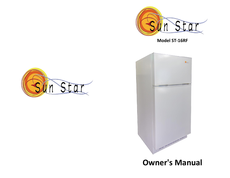

**Model ST-16RF**





**Owner's Manual**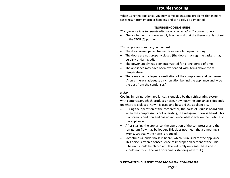## **Troubleshooting**

When using this appliance, you may come across some problems that in many cases result from improper handling and can easily be eliminated.

#### **TROUBLESHOOTING GUIDE**

*The appliance fails to operate after being connected to the power source.*

• Check whether the power supply is active and that the thermostat is not set to the **STOP (0)** position.

*The compressor is running continuously.*

- The doors were opened frequently or were left open too long.
- The doors are not properly closed (the doors may sag, the gaskets may be dirty or damaged).
- The power supply has been interrupted for a long period of time.
- The appliance may have been overloaded with items above room temperature.
- There may be inadequate ventilation of the compressor and condenser. (Assure there is adequate air circulation behind the appliance and wipe the dust from the condenser.)

#### *Noise*

Cooling in refrigeration appliances is enabled by the refrigerating system with compressor, which produces noise. How noisy the appliance is depends on where it is placed, how it is used and how old the appliance is.

- During the operation of the compressor, the noise of liquid is heard and when the compressor is not operating, the refrigerant flow is heard. This is a normal condition and has no influence whatsoever on the lifetime of the appliance.
- After starting the appliance, the operation of the compressor and the refrigerant flow may be louder. This does not mean that something is wrong. Gradually the noise is reduced.
- Sometimes a louder noise is heard, which is unusual for the appliance. This noise is often a consequence of improper placement of the unit. (The unit should be placed and leveled firmly on a solid base and it should not touch the wall or cabinets standing next to it.)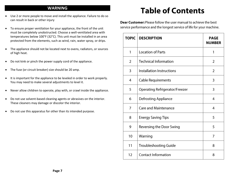## **WARNING**

- Use 2 or more people to move and install the appliance. Failure to do so can result in back or other injury
- To ensure proper ventilation for your appliance, the front of the unit must be completely unobstructed. Choose a well-ventilated area with temperatures below 100°F (32°C). This unit must be installed in an area protected from the elements, such as wind, rain, water spray, or drips.
- The appliance should not be located next to ovens, radiators, or sources of high heat.
- Do not kink or pinch the power supply cord of the appliance.
- The fuse (or circuit breaker) size should be 20 amp.
- It is important for the appliance to be leveled in order to work properly. You may need to make several adjustments to level it.
- Never allow children to operate, play with, or crawl inside the appliance.
- Do not use solvent-based cleaning agents or abrasives on the interior. These cleaners may damage or discolor the interior.
- Do not use this apparatus for other than its intended purpose.

# **Table of Contents**

**Dear Customer:** Please follow the user manual to achieve the best service performance and the longest service of life for your machine.

| <b>TOPIC</b>   | <b>DESCRIPTION</b>                    | <b>PAGE</b><br><b>NUMBER</b> |
|----------------|---------------------------------------|------------------------------|
| 1              | <b>Location of Parts</b>              | 1                            |
| $\overline{2}$ | <b>Technical Information</b>          | $\overline{2}$               |
| 3              | Installation Instructions             | $\overline{2}$               |
| $\overline{4}$ | <b>Cable Requirements</b>             | 3                            |
| 5              | <b>Operating Refrigerator/Freezer</b> | 3                            |
| 6              | <b>Defrosting Appliance</b>           | $\overline{4}$               |
| 7              | <b>Care and Maintenance</b>           | $\overline{4}$               |
| 8              | <b>Energy Saving Tips</b>             | 5                            |
| 9              | <b>Reversing the Door Swing</b>       | 5                            |
| 10             | Warning                               | 7                            |
| 11             | <b>Troubleshooting Guide</b>          | 8                            |
| 12             | <b>Contact Information</b>            | 8                            |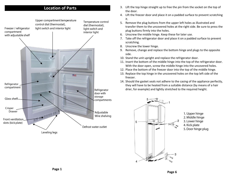

- **Location of Parts** 3. Lift the top hinge straight up to free the pin from the socket on the top of the door.
	- 4. Lift the freezer door and place it on a padded surface to prevent scratching it.
	- 5. Remove the plug buttons from the upper left holes as illustrated and transfer them to the uncovered holes at the right side. Be sure to press the plug buttons firmly into the holes.
	- 6. Unscrew the middle hinge. Keep these for later use.
	- 7. Take off the refrigerator door and place it on a padded surface to prevent scratching.
	- 8. Unscrew the lower hinge.
	- 9. Remove, change and replace the bottom hinge and plugs to the opposite side.
	- 10. Stand the unit upright and replace the refrigerator door.
	- 11. Insert the bottom of the middle hinge into the top of the refrigerator door. With the door open, screw the middle hinge into the uncovered holes.
	- 12. Place the bottom of the freezer door into the top of the middle hinge.
	- 13. Replace the top hinge in the uncovered holes on the top left side of the freezer.
	- 14. Should the gasket seals not adhere to the casing of the appliance perfectly, they will have to be heated from a suitable distance (by means of a hair drier, for example) and lightly stretched to the required height.



1. Upper hinge 2. Middle hinge 3. Lower hinge 4. Kick plate 5. Door hinge plug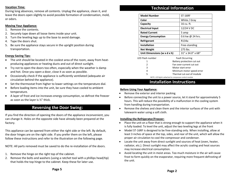#### **Vacation Time:**

During long absences, remove all contents. Unplug the appliance, clean it, and leave the doors open slightly to avoid possible formation of condensation, mold, or odors.

#### **Moving Your Appliance:**

- 1. Remove the contents.
- 2. Securely tape down all loose items inside your unit.
- 3. Turn the leveling legs up to the base to avoid damage.
- 4. Tape the doors shut.
- 5. Be sure the appliance stays secure in the upright position during transportation.

#### **Energy Saving Tips:**

- The unit should be located in the coolest area of the room, away from heatproducing appliances or heating ducts and out of direct sunlight.
- Try not to open the doors too often, especially when the weather is damp and hot. Once you open a door, close it as soon as possible.
- Occasionally check if the appliance is sufficiently ventilated (adequate air circulation behind the appliance).
- Set the thermostat from higher to lower settings on the temperature dial.
- Before loading items into the unit, be sure they have cooled to ambient temperature.
- A layer of frost and ice increases energy consumption, so defrost the freezer as soon as the layer is ½" thick.

## **Reversing the Door Swing:**

If you find the direction of opening the doors of the appliance inconvenient, you can change it. Holes on the opposite side have already been prepared at the factory.

This appliance can be opened from either the right side or the left. By default, the door hinges are on the right side. If you prefer them on the left, please follow these instructions and refer to the illustration on the following page.

NOTE: All parts removed must be saved to do the re-installation of the doors.

- 1. Remove the hinge on the right top of the cabinet.
- 2. Remove the bolts and washers (using a ratchet tool with a phillips head/tip) that holds the top hinge to the cabinet. Keep these for later use.

## **Technical Information**

| <b>Model Number</b>         | <b>ST-16RF</b>         |
|-----------------------------|------------------------|
| Color                       | White / Gray           |
| Capacity                    | 16 cu. ft.             |
| <b>Electrical Input</b>     | 12/24 V DC             |
| <b>Rated Current</b>        | 5 amp                  |
| <b>Energy Consumption</b>   | 0.6 kw @ 24 hrs.       |
| Refrigerant                 | R134a                  |
| <b>Installation</b>         | Free-standing          |
| <b>Net Weight</b>           | 275 lbs.               |
| Unit Dimensions (w x d x h) | 31" x 34.0" x 68"      |
| <b>LED Flash number</b>     | <b>Fault Occurring</b> |

| 11031111 <b>4111</b>                                     | <b>Lault Occulling</b>     |  |
|----------------------------------------------------------|----------------------------|--|
|                                                          | Battery protection cut out |  |
| 2                                                        | Fan over-current cut out   |  |
| 3                                                        | Motor start error          |  |
| 4                                                        | Minimum motor speed error  |  |
| 5.                                                       | Thermal cut-out of module  |  |
| NOTE: LED light is attached to compressor control module |                            |  |

## **Installation Instructions**

#### **Before Using Your Appliance:**

- Remove the exterior and interior packing.
- Before connecting the unit to a power source, let it stand for approximately 5 hours. This will reduce the possibility of a malfunction in the cooling system from handling during transportation.
- Remove the shelves and clean them and the interior surfaces of the unit with lukewarm water using a soft cloth.

#### **Installing the Refrigerator/Freezer:**

- Place the unit on a floor that is strong enough to support the appliance when it is fully loaded. To level the unit, adjust the two leveling legs at the front
- Model ST-16RF is designed to be free-standing only. When installing, allow at least 3 inches of space at the top, sides, and rear of the unit, which will allow the proper air circulation to cool the compressor and condenser.
- Locate the unit away from direct sunlight and sources of heat (oven, heater, radiator, etc.). Direct sunlight may affect the acrylic coating and heat sources may increase electrical consumption.
- Avoid locating the unit in moist areas. Too much moisture in the air will cause frost to form quickly on the evaporator, requiring more frequent defrosting of the unit.